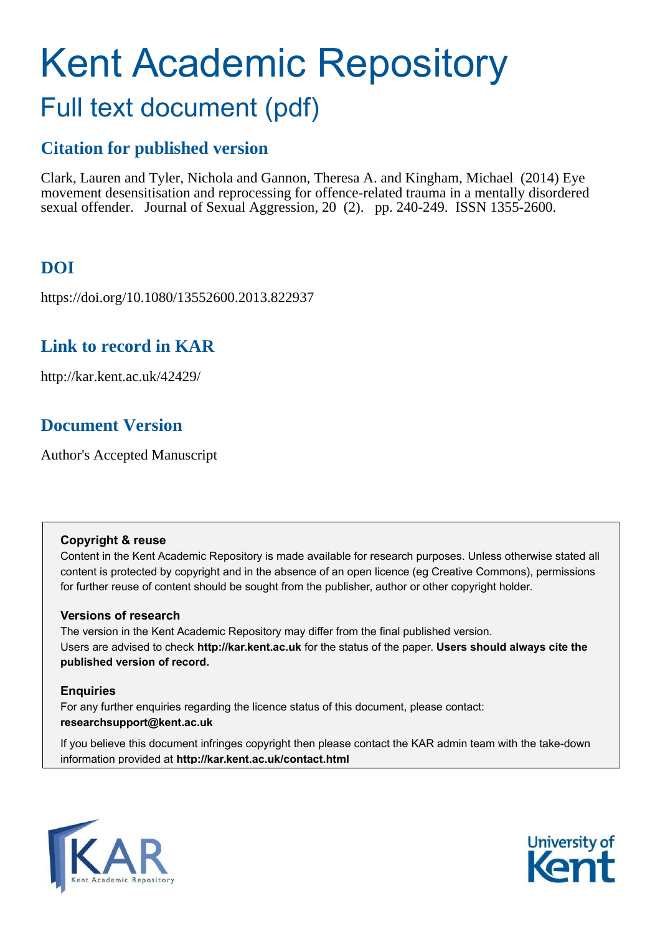# Kent Academic Repository Full text document (pdf)

# **Citation for published version**

Clark, Lauren and Tyler, Nichola and Gannon, Theresa A. and Kingham, Michael (2014) Eye movement desensitisation and reprocessing for offence-related trauma in a mentally disordered sexual offender. Journal of Sexual Aggression, 20 (2). pp. 240-249. ISSN 1355-2600.

# **DOI**

https://doi.org/10.1080/13552600.2013.822937

# **Link to record in KAR**

http://kar.kent.ac.uk/42429/

# **Document Version**

Author's Accepted Manuscript

# **Copyright & reuse**

Content in the Kent Academic Repository is made available for research purposes. Unless otherwise stated all content is protected by copyright and in the absence of an open licence (eg Creative Commons), permissions for further reuse of content should be sought from the publisher, author or other copyright holder.

# **Versions of research**

The version in the Kent Academic Repository may differ from the final published version. Users are advised to check **http://kar.kent.ac.uk** for the status of the paper. **Users should always cite the published version of record.**

# **Enquiries**

For any further enquiries regarding the licence status of this document, please contact: **researchsupport@kent.ac.uk**

If you believe this document infringes copyright then please contact the KAR admin team with the take-down information provided at **http://kar.kent.ac.uk/contact.html**



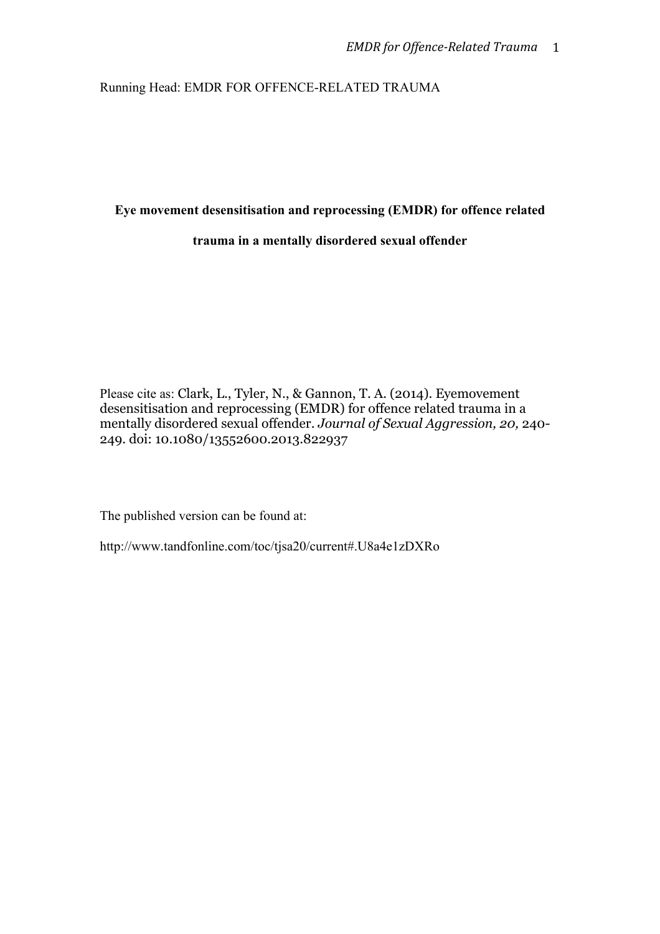Running Head: EMDR FOR OFFENCE-RELATED TRAUMA

## **Eye movement desensitisation and reprocessing (EMDR) for offence related**

## **trauma in a mentally disordered sexual offender**

Please cite as: Clark, L., Tyler, N., & Gannon, T. A. (2014). Eyemovement desensitisation and reprocessing (EMDR) for offence related trauma in a mentally disordered sexual offender. *Journal of Sexual Aggression, 20,* 240- 249. doi: 10.1080/13552600.2013.822937

The published version can be found at:

http://www.tandfonline.com/toc/tjsa20/current#.U8a4e1zDXRo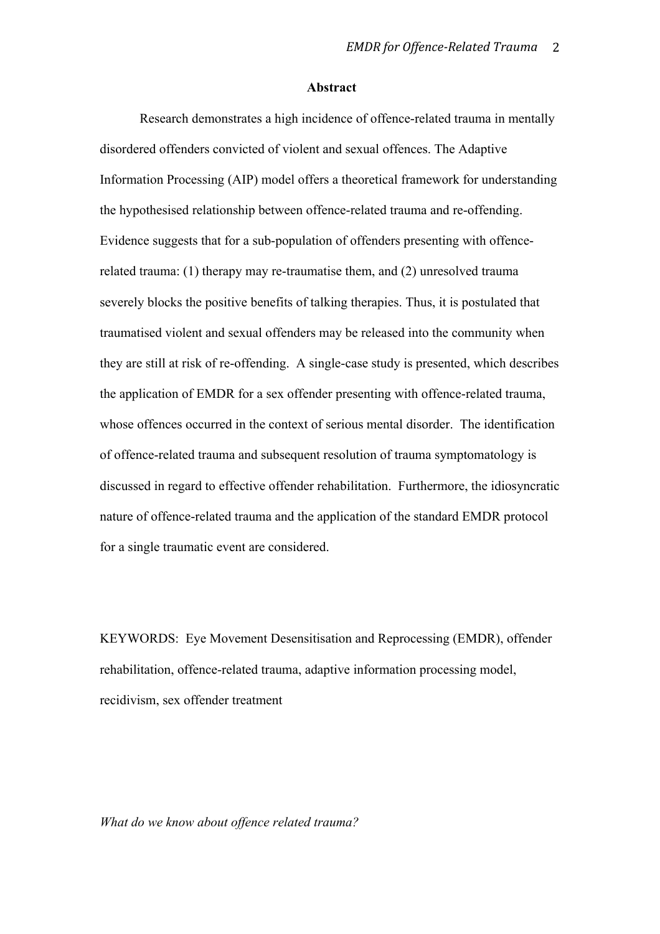#### **Abstract**

Research demonstrates a high incidence of offence-related trauma in mentally disordered offenders convicted of violent and sexual offences. The Adaptive Information Processing (AIP) model offers a theoretical framework for understanding the hypothesised relationship between offence-related trauma and re-offending. Evidence suggests that for a sub-population of offenders presenting with offencerelated trauma: (1) therapy may re-traumatise them, and (2) unresolved trauma severely blocks the positive benefits of talking therapies. Thus, it is postulated that traumatised violent and sexual offenders may be released into the community when they are still at risk of re-offending. A single-case study is presented, which describes the application of EMDR for a sex offender presenting with offence-related trauma, whose offences occurred in the context of serious mental disorder. The identification of offence-related trauma and subsequent resolution of trauma symptomatology is discussed in regard to effective offender rehabilitation. Furthermore, the idiosyncratic nature of offence-related trauma and the application of the standard EMDR protocol for a single traumatic event are considered.

KEYWORDS: Eye Movement Desensitisation and Reprocessing (EMDR), offender rehabilitation, offence-related trauma, adaptive information processing model, recidivism, sex offender treatment

*What do we know about offence related trauma?*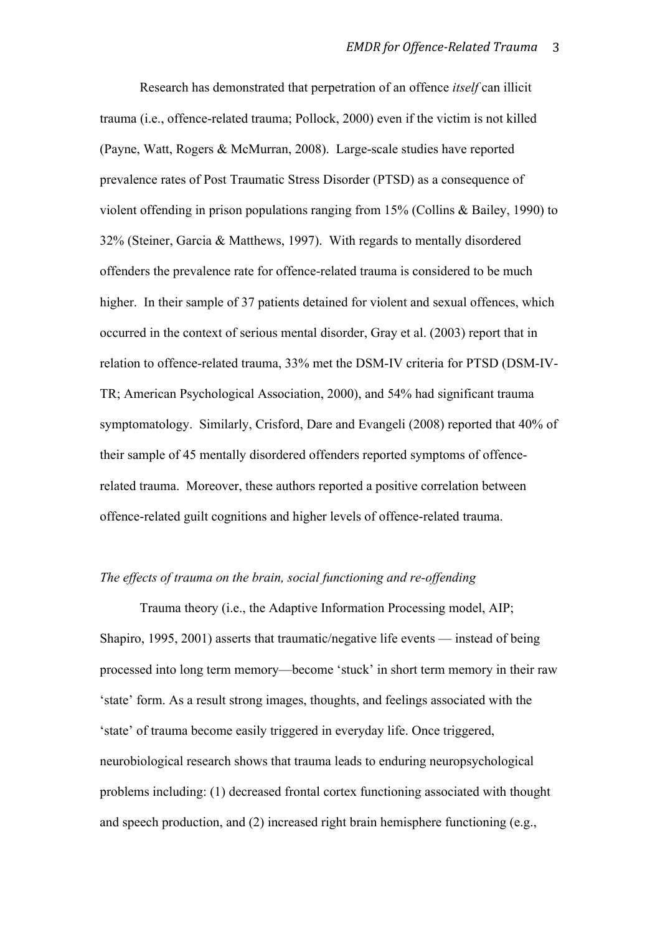Research has demonstrated that perpetration of an offence *itself* can illicit trauma (i.e., offence-related trauma; Pollock, 2000) even if the victim is not killed (Payne, Watt, Rogers & McMurran, 2008). Large-scale studies have reported prevalence rates of Post Traumatic Stress Disorder (PTSD) as a consequence of violent offending in prison populations ranging from 15% (Collins & Bailey, 1990) to 32% (Steiner, Garcia & Matthews, 1997). With regards to mentally disordered offenders the prevalence rate for offence-related trauma is considered to be much higher. In their sample of 37 patients detained for violent and sexual offences, which occurred in the context of serious mental disorder, Gray et al. (2003) report that in relation to offence-related trauma, 33% met the DSM-IV criteria for PTSD (DSM-IV-TR; American Psychological Association, 2000), and 54% had significant trauma symptomatology. Similarly, Crisford, Dare and Evangeli (2008) reported that 40% of their sample of 45 mentally disordered offenders reported symptoms of offencerelated trauma. Moreover, these authors reported a positive correlation between offence-related guilt cognitions and higher levels of offence-related trauma.

## *The effects of trauma on the brain, social functioning and re-offending*

Trauma theory (i.e., the Adaptive Information Processing model, AIP; Shapiro, 1995, 2001) asserts that traumatic/negative life events — instead of being processed into long term memory—become 'stuck' in short term memory in their raw 'state' form. As a result strong images, thoughts, and feelings associated with the 'state' of trauma become easily triggered in everyday life. Once triggered, neurobiological research shows that trauma leads to enduring neuropsychological problems including: (1) decreased frontal cortex functioning associated with thought and speech production, and (2) increased right brain hemisphere functioning (e.g.,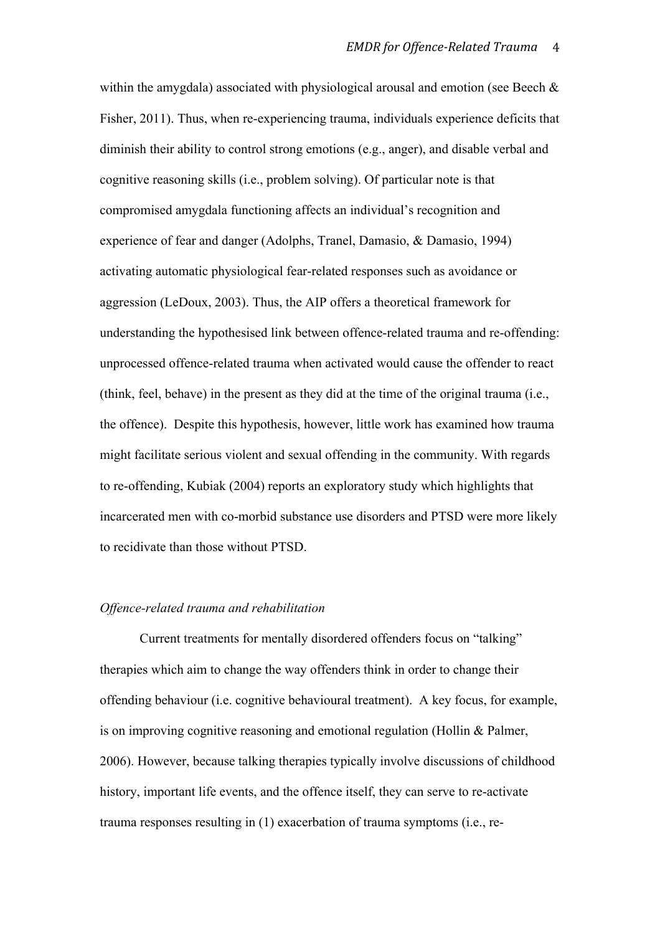within the amygdala) associated with physiological arousal and emotion (see Beech  $\&$ Fisher, 2011). Thus, when re-experiencing trauma, individuals experience deficits that diminish their ability to control strong emotions (e.g., anger), and disable verbal and cognitive reasoning skills (i.e., problem solving). Of particular note is that compromised amygdala functioning affects an individual's recognition and experience of fear and danger (Adolphs, Tranel, Damasio, & Damasio, 1994) activating automatic physiological fear-related responses such as avoidance or aggression (LeDoux, 2003). Thus, the AIP offers a theoretical framework for understanding the hypothesised link between offence-related trauma and re-offending: unprocessed offence-related trauma when activated would cause the offender to react (think, feel, behave) in the present as they did at the time of the original trauma (i.e., the offence). Despite this hypothesis, however, little work has examined how trauma might facilitate serious violent and sexual offending in the community. With regards to re-offending, Kubiak (2004) reports an exploratory study which highlights that incarcerated men with co-morbid substance use disorders and PTSD were more likely to recidivate than those without PTSD.

#### *Offence-related trauma and rehabilitation*

Current treatments for mentally disordered offenders focus on "talking" therapies which aim to change the way offenders think in order to change their offending behaviour (i.e. cognitive behavioural treatment). A key focus, for example, is on improving cognitive reasoning and emotional regulation (Hollin & Palmer, 2006). However, because talking therapies typically involve discussions of childhood history, important life events, and the offence itself, they can serve to re-activate trauma responses resulting in (1) exacerbation of trauma symptoms (i.e., re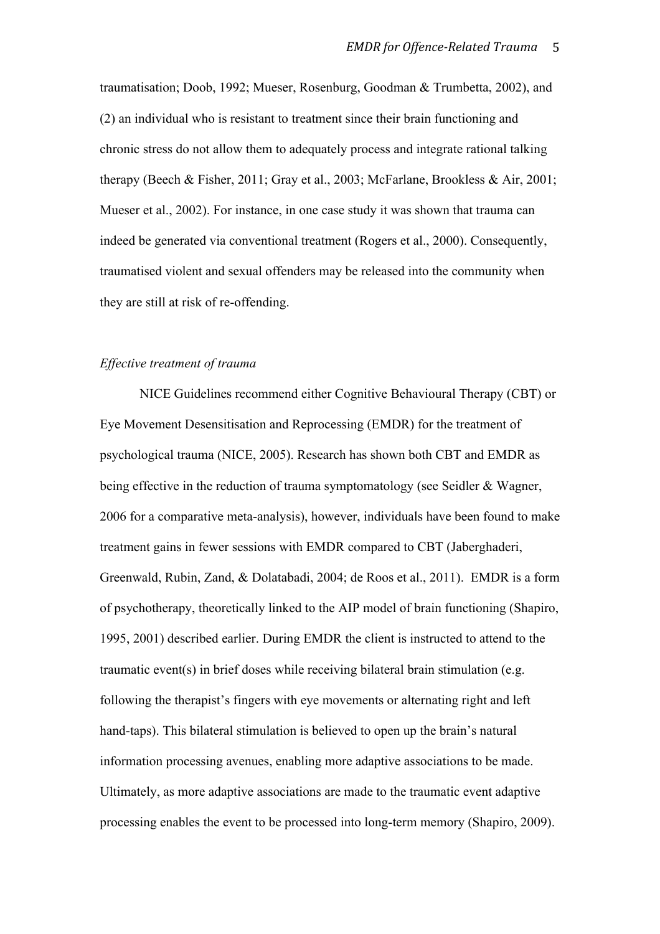traumatisation; Doob, 1992; Mueser, Rosenburg, Goodman & Trumbetta, 2002), and (2) an individual who is resistant to treatment since their brain functioning and chronic stress do not allow them to adequately process and integrate rational talking therapy (Beech & Fisher, 2011; Gray et al., 2003; McFarlane, Brookless & Air, 2001; Mueser et al., 2002). For instance, in one case study it was shown that trauma can indeed be generated via conventional treatment (Rogers et al., 2000). Consequently, traumatised violent and sexual offenders may be released into the community when they are still at risk of re-offending.

#### *Effective treatment of trauma*

NICE Guidelines recommend either Cognitive Behavioural Therapy (CBT) or Eye Movement Desensitisation and Reprocessing (EMDR) for the treatment of psychological trauma (NICE, 2005). Research has shown both CBT and EMDR as being effective in the reduction of trauma symptomatology (see Seidler & Wagner, 2006 for a comparative meta-analysis), however, individuals have been found to make treatment gains in fewer sessions with EMDR compared to CBT (Jaberghaderi, Greenwald, Rubin, Zand, & Dolatabadi, 2004; de Roos et al., 2011). EMDR is a form of psychotherapy, theoretically linked to the AIP model of brain functioning (Shapiro, 1995, 2001) described earlier. During EMDR the client is instructed to attend to the traumatic event(s) in brief doses while receiving bilateral brain stimulation (e.g. following the therapist's fingers with eye movements or alternating right and left hand-taps). This bilateral stimulation is believed to open up the brain's natural information processing avenues, enabling more adaptive associations to be made. Ultimately, as more adaptive associations are made to the traumatic event adaptive processing enables the event to be processed into long-term memory (Shapiro, 2009).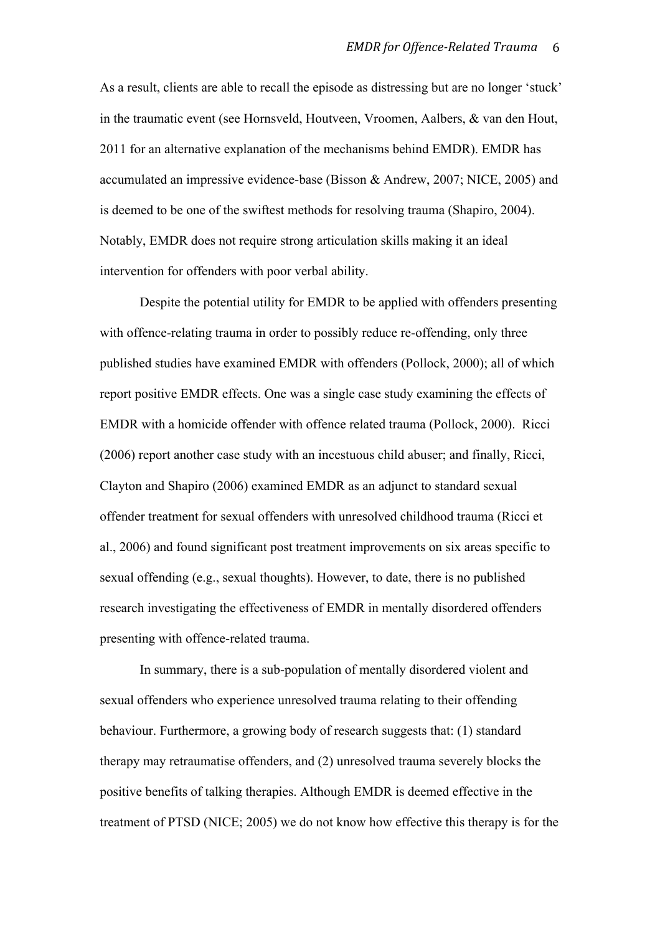As a result, clients are able to recall the episode as distressing but are no longer 'stuck' in the traumatic event (see Hornsveld, Houtveen, Vroomen, Aalbers, & van den Hout, 2011 for an alternative explanation of the mechanisms behind EMDR). EMDR has accumulated an impressive evidence-base (Bisson & Andrew, 2007; NICE, 2005) and is deemed to be one of the swiftest methods for resolving trauma (Shapiro, 2004). Notably, EMDR does not require strong articulation skills making it an ideal intervention for offenders with poor verbal ability.

Despite the potential utility for EMDR to be applied with offenders presenting with offence-relating trauma in order to possibly reduce re-offending, only three published studies have examined EMDR with offenders (Pollock, 2000); all of which report positive EMDR effects. One was a single case study examining the effects of EMDR with a homicide offender with offence related trauma (Pollock, 2000). Ricci (2006) report another case study with an incestuous child abuser; and finally, Ricci, Clayton and Shapiro (2006) examined EMDR as an adjunct to standard sexual offender treatment for sexual offenders with unresolved childhood trauma (Ricci et al., 2006) and found significant post treatment improvements on six areas specific to sexual offending (e.g., sexual thoughts). However, to date, there is no published research investigating the effectiveness of EMDR in mentally disordered offenders presenting with offence-related trauma.

In summary, there is a sub-population of mentally disordered violent and sexual offenders who experience unresolved trauma relating to their offending behaviour. Furthermore, a growing body of research suggests that: (1) standard therapy may retraumatise offenders, and (2) unresolved trauma severely blocks the positive benefits of talking therapies. Although EMDR is deemed effective in the treatment of PTSD (NICE; 2005) we do not know how effective this therapy is for the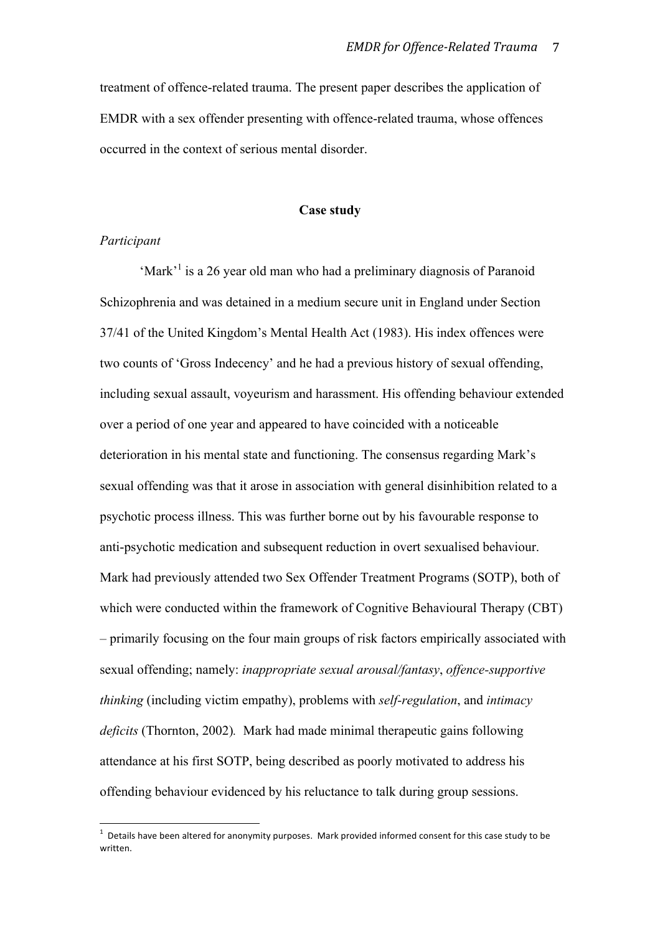treatment of offence-related trauma. The present paper describes the application of EMDR with a sex offender presenting with offence-related trauma, whose offences occurred in the context of serious mental disorder.

#### **Case study**

#### *Participant*

'Mark'<sup>1</sup> is a 26 year old man who had a preliminary diagnosis of Paranoid Schizophrenia and was detained in a medium secure unit in England under Section 37/41 of the United Kingdom's Mental Health Act (1983). His index offences were two counts of 'Gross Indecency' and he had a previous history of sexual offending, including sexual assault, voyeurism and harassment. His offending behaviour extended over a period of one year and appeared to have coincided with a noticeable deterioration in his mental state and functioning. The consensus regarding Mark's sexual offending was that it arose in association with general disinhibition related to a psychotic process illness. This was further borne out by his favourable response to anti-psychotic medication and subsequent reduction in overt sexualised behaviour. Mark had previously attended two Sex Offender Treatment Programs (SOTP), both of which were conducted within the framework of Cognitive Behavioural Therapy (CBT) – primarily focusing on the four main groups of risk factors empirically associated with sexual offending; namely: *inappropriate sexual arousal/fantasy*, *offence-supportive thinking* (including victim empathy), problems with *self-regulation*, and *intimacy deficits* (Thornton, 2002)*.* Mark had made minimal therapeutic gains following attendance at his first SOTP, being described as poorly motivated to address his offending behaviour evidenced by his reluctance to talk during group sessions.

**The set of the construct of the construm**<br><sup>1</sup> Details have been altered for anonymity purposes. Mark provided informed consent for this case study to be written.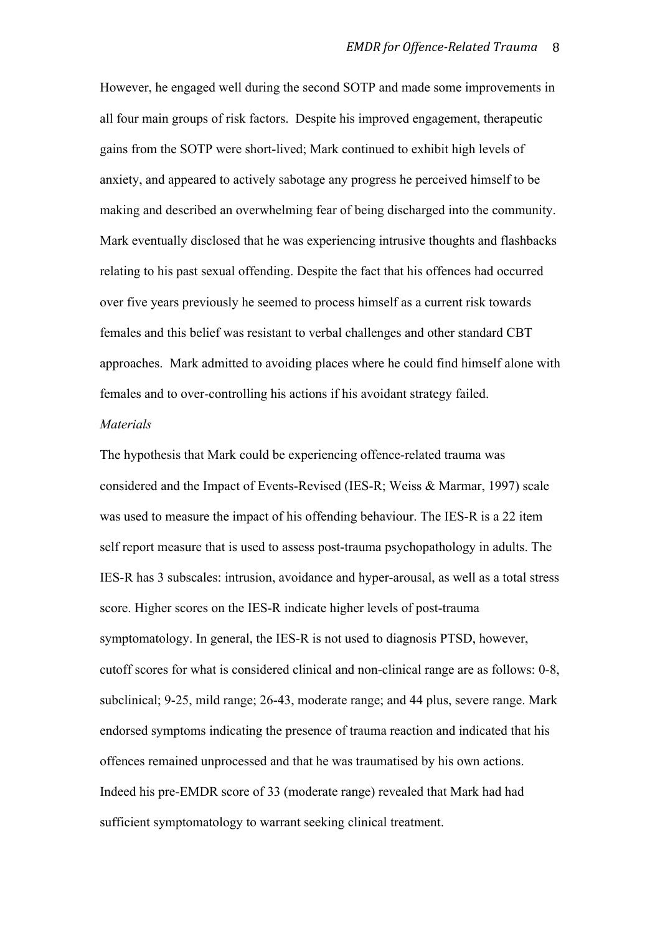However, he engaged well during the second SOTP and made some improvements in all four main groups of risk factors. Despite his improved engagement, therapeutic gains from the SOTP were short-lived; Mark continued to exhibit high levels of anxiety, and appeared to actively sabotage any progress he perceived himself to be making and described an overwhelming fear of being discharged into the community. Mark eventually disclosed that he was experiencing intrusive thoughts and flashbacks relating to his past sexual offending. Despite the fact that his offences had occurred over five years previously he seemed to process himself as a current risk towards females and this belief was resistant to verbal challenges and other standard CBT approaches. Mark admitted to avoiding places where he could find himself alone with females and to over-controlling his actions if his avoidant strategy failed.

#### *Materials*

The hypothesis that Mark could be experiencing offence-related trauma was considered and the Impact of Events-Revised (IES-R; Weiss & Marmar, 1997) scale was used to measure the impact of his offending behaviour. The IES-R is a 22 item self report measure that is used to assess post-trauma psychopathology in adults. The IES-R has 3 subscales: intrusion, avoidance and hyper-arousal, as well as a total stress score. Higher scores on the IES-R indicate higher levels of post-trauma symptomatology. In general, the IES-R is not used to diagnosis PTSD, however, cutoff scores for what is considered clinical and non-clinical range are as follows: 0-8, subclinical; 9-25, mild range; 26-43, moderate range; and 44 plus, severe range. Mark endorsed symptoms indicating the presence of trauma reaction and indicated that his offences remained unprocessed and that he was traumatised by his own actions. Indeed his pre-EMDR score of 33 (moderate range) revealed that Mark had had sufficient symptomatology to warrant seeking clinical treatment.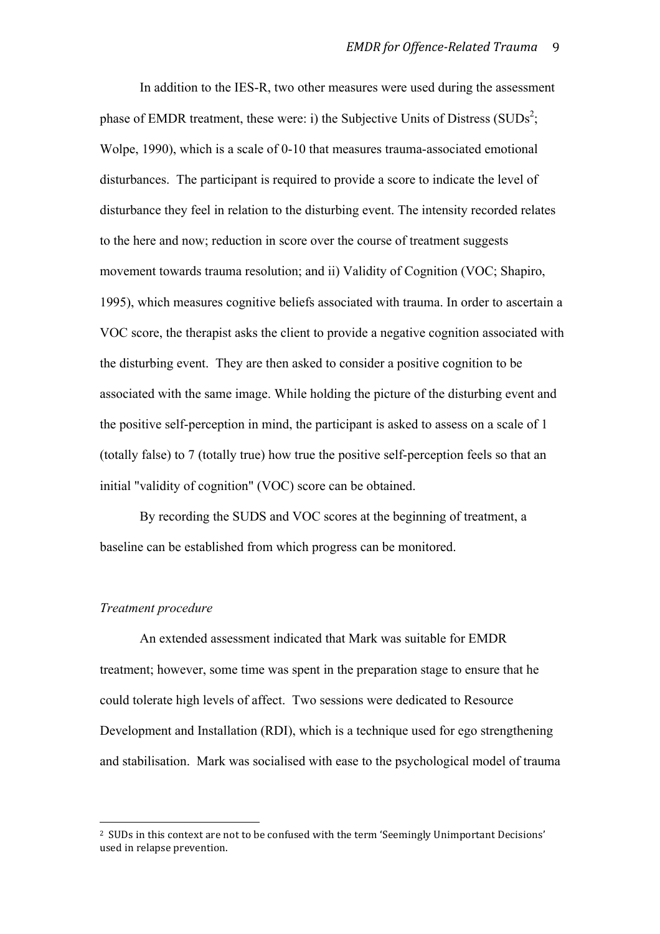In addition to the IES-R, two other measures were used during the assessment phase of EMDR treatment, these were: i) the Subjective Units of Distress (SUDs<sup>2</sup>; Wolpe, 1990), which is a scale of 0-10 that measures trauma-associated emotional disturbances. The participant is required to provide a score to indicate the level of disturbance they feel in relation to the disturbing event. The intensity recorded relates to the here and now; reduction in score over the course of treatment suggests movement towards trauma resolution; and ii) Validity of Cognition (VOC; Shapiro, 1995), which measures cognitive beliefs associated with trauma. In order to ascertain a VOC score, the therapist asks the client to provide a negative cognition associated with the disturbing event. They are then asked to consider a positive cognition to be associated with the same image. While holding the picture of the disturbing event and the positive self-perception in mind, the participant is asked to assess on a scale of 1 (totally false) to 7 (totally true) how true the positive self-perception feels so that an initial "validity of cognition" (VOC) score can be obtained.

By recording the SUDS and VOC scores at the beginning of treatment, a baseline can be established from which progress can be monitored.

#### *Treatment procedure*

An extended assessment indicated that Mark was suitable for EMDR treatment; however, some time was spent in the preparation stage to ensure that he could tolerate high levels of affect. Two sessions were dedicated to Resource Development and Installation (RDI), which is a technique used for ego strengthening and stabilisation. Mark was socialised with ease to the psychological model of trauma

<sup>2</sup> SUDs in this context are not to be confused with the term 'Seemingly Unimportant Decisions' used in relapse prevention.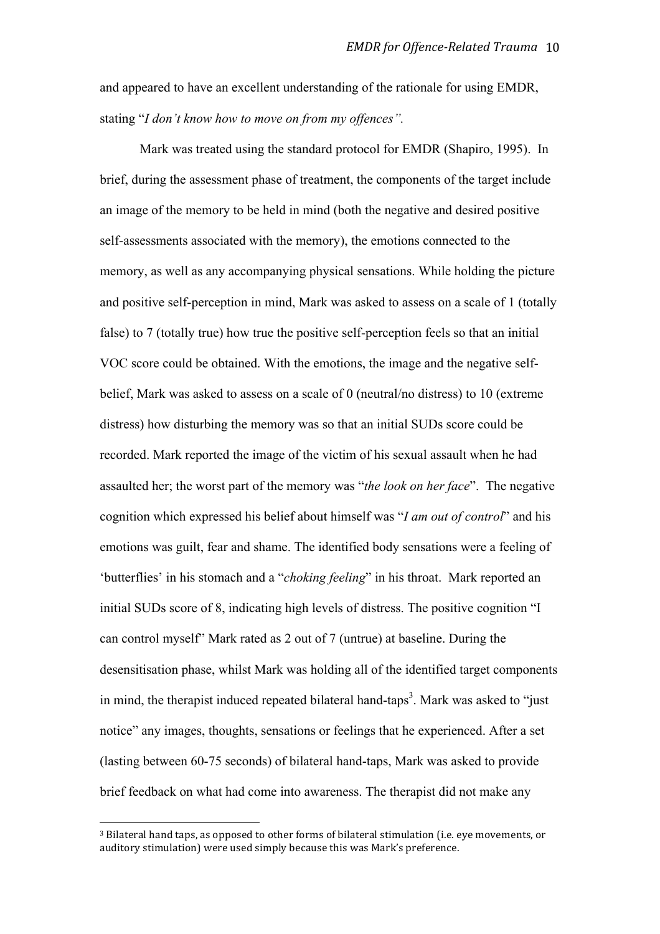and appeared to have an excellent understanding of the rationale for using EMDR, stating "*I don't know how to move on from my offences".* 

Mark was treated using the standard protocol for EMDR (Shapiro, 1995). In brief, during the assessment phase of treatment, the components of the target include an image of the memory to be held in mind (both the negative and desired positive self-assessments associated with the memory), the emotions connected to the memory, as well as any accompanying physical sensations. While holding the picture and positive self-perception in mind, Mark was asked to assess on a scale of 1 (totally false) to 7 (totally true) how true the positive self-perception feels so that an initial VOC score could be obtained. With the emotions, the image and the negative selfbelief, Mark was asked to assess on a scale of 0 (neutral/no distress) to 10 (extreme distress) how disturbing the memory was so that an initial SUDs score could be recorded. Mark reported the image of the victim of his sexual assault when he had assaulted her; the worst part of the memory was "*the look on her face*". The negative cognition which expressed his belief about himself was "*I am out of control*" and his emotions was guilt, fear and shame. The identified body sensations were a feeling of 'butterflies' in his stomach and a "*choking feeling*" in his throat. Mark reported an initial SUDs score of 8, indicating high levels of distress. The positive cognition "I can control myself" Mark rated as 2 out of 7 (untrue) at baseline. During the desensitisation phase, whilst Mark was holding all of the identified target components in mind, the therapist induced repeated bilateral hand-taps<sup>3</sup>. Mark was asked to "just notice" any images, thoughts, sensations or feelings that he experienced. After a set (lasting between 60-75 seconds) of bilateral hand-taps, Mark was asked to provide brief feedback on what had come into awareness. The therapist did not make any

<sup>3</sup> Bilateral hand taps, as opposed to other forms of bilateral stimulation (i.e. eye movements, or auditory stimulation) were used simply because this was Mark's preference.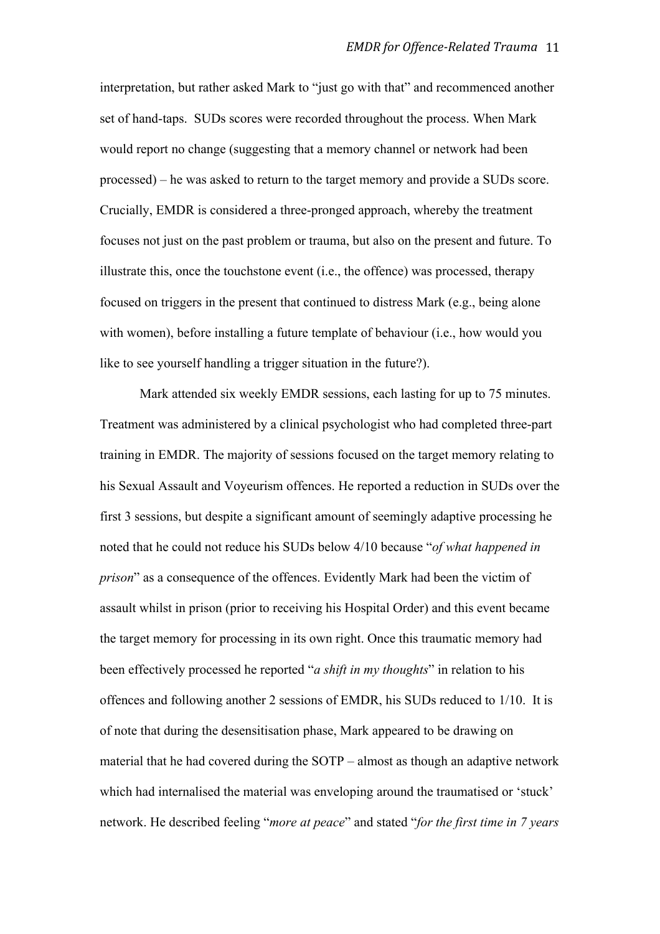interpretation, but rather asked Mark to "just go with that" and recommenced another set of hand-taps. SUDs scores were recorded throughout the process. When Mark would report no change (suggesting that a memory channel or network had been processed) – he was asked to return to the target memory and provide a SUDs score. Crucially, EMDR is considered a three-pronged approach, whereby the treatment focuses not just on the past problem or trauma, but also on the present and future. To illustrate this, once the touchstone event (i.e., the offence) was processed, therapy focused on triggers in the present that continued to distress Mark (e.g., being alone with women), before installing a future template of behaviour (i.e., how would you like to see yourself handling a trigger situation in the future?).

Mark attended six weekly EMDR sessions, each lasting for up to 75 minutes. Treatment was administered by a clinical psychologist who had completed three-part training in EMDR. The majority of sessions focused on the target memory relating to his Sexual Assault and Voyeurism offences. He reported a reduction in SUDs over the first 3 sessions, but despite a significant amount of seemingly adaptive processing he noted that he could not reduce his SUDs below 4/10 because "*of what happened in prison*" as a consequence of the offences. Evidently Mark had been the victim of assault whilst in prison (prior to receiving his Hospital Order) and this event became the target memory for processing in its own right. Once this traumatic memory had been effectively processed he reported "*a shift in my thoughts*" in relation to his offences and following another 2 sessions of EMDR, his SUDs reduced to 1/10. It is of note that during the desensitisation phase, Mark appeared to be drawing on material that he had covered during the SOTP – almost as though an adaptive network which had internalised the material was enveloping around the traumatised or 'stuck' network. He described feeling "*more at peace*" and stated "*for the first time in 7 years*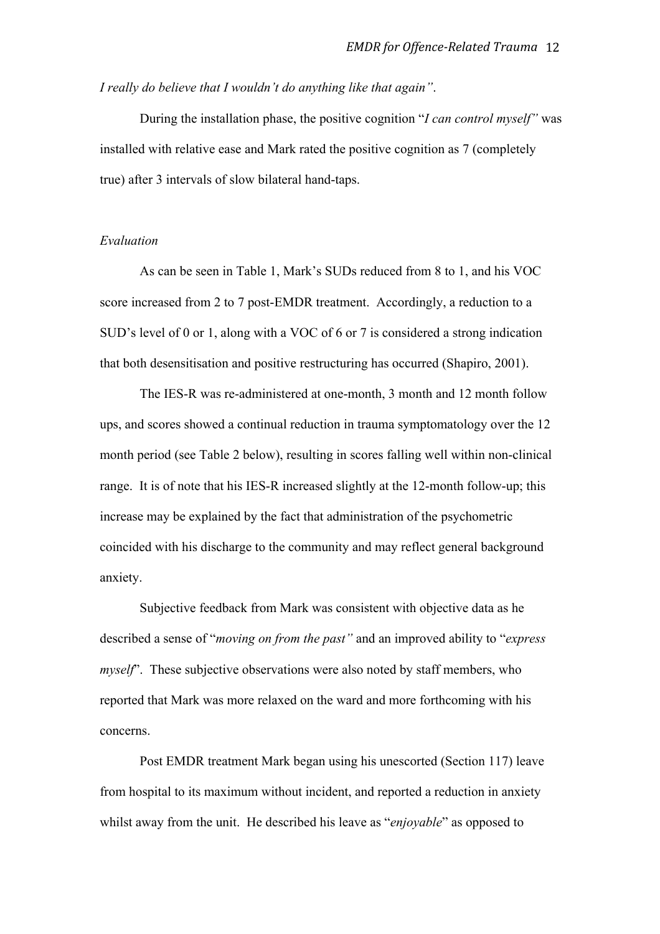*I really do believe that I wouldn't do anything like that again"*.

During the installation phase, the positive cognition "*I can control myself"* was installed with relative ease and Mark rated the positive cognition as 7 (completely true) after 3 intervals of slow bilateral hand-taps.

## *Evaluation*

As can be seen in Table 1, Mark's SUDs reduced from 8 to 1, and his VOC score increased from 2 to 7 post-EMDR treatment. Accordingly, a reduction to a SUD's level of 0 or 1, along with a VOC of 6 or 7 is considered a strong indication that both desensitisation and positive restructuring has occurred (Shapiro, 2001).

The IES-R was re-administered at one-month, 3 month and 12 month follow ups, and scores showed a continual reduction in trauma symptomatology over the 12 month period (see Table 2 below), resulting in scores falling well within non-clinical range. It is of note that his IES-R increased slightly at the 12-month follow-up; this increase may be explained by the fact that administration of the psychometric coincided with his discharge to the community and may reflect general background anxiety.

Subjective feedback from Mark was consistent with objective data as he described a sense of "*moving on from the past"* and an improved ability to "*express myself*". These subjective observations were also noted by staff members, who reported that Mark was more relaxed on the ward and more forthcoming with his concerns.

Post EMDR treatment Mark began using his unescorted (Section 117) leave from hospital to its maximum without incident, and reported a reduction in anxiety whilst away from the unit. He described his leave as "*enjoyable*" as opposed to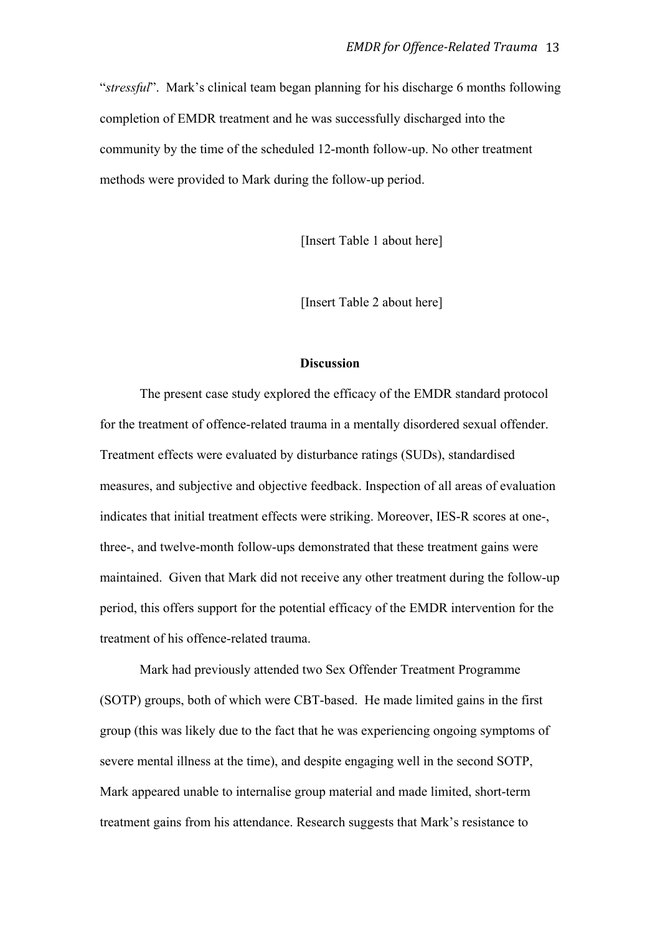"*stressful*". Mark's clinical team began planning for his discharge 6 months following completion of EMDR treatment and he was successfully discharged into the community by the time of the scheduled 12-month follow-up. No other treatment methods were provided to Mark during the follow-up period.

[Insert Table 1 about here]

[Insert Table 2 about here]

## **Discussion**

The present case study explored the efficacy of the EMDR standard protocol for the treatment of offence-related trauma in a mentally disordered sexual offender. Treatment effects were evaluated by disturbance ratings (SUDs), standardised measures, and subjective and objective feedback. Inspection of all areas of evaluation indicates that initial treatment effects were striking. Moreover, IES-R scores at one-, three-, and twelve-month follow-ups demonstrated that these treatment gains were maintained. Given that Mark did not receive any other treatment during the follow-up period, this offers support for the potential efficacy of the EMDR intervention for the treatment of his offence-related trauma.

Mark had previously attended two Sex Offender Treatment Programme (SOTP) groups, both of which were CBT-based. He made limited gains in the first group (this was likely due to the fact that he was experiencing ongoing symptoms of severe mental illness at the time), and despite engaging well in the second SOTP, Mark appeared unable to internalise group material and made limited, short-term treatment gains from his attendance. Research suggests that Mark's resistance to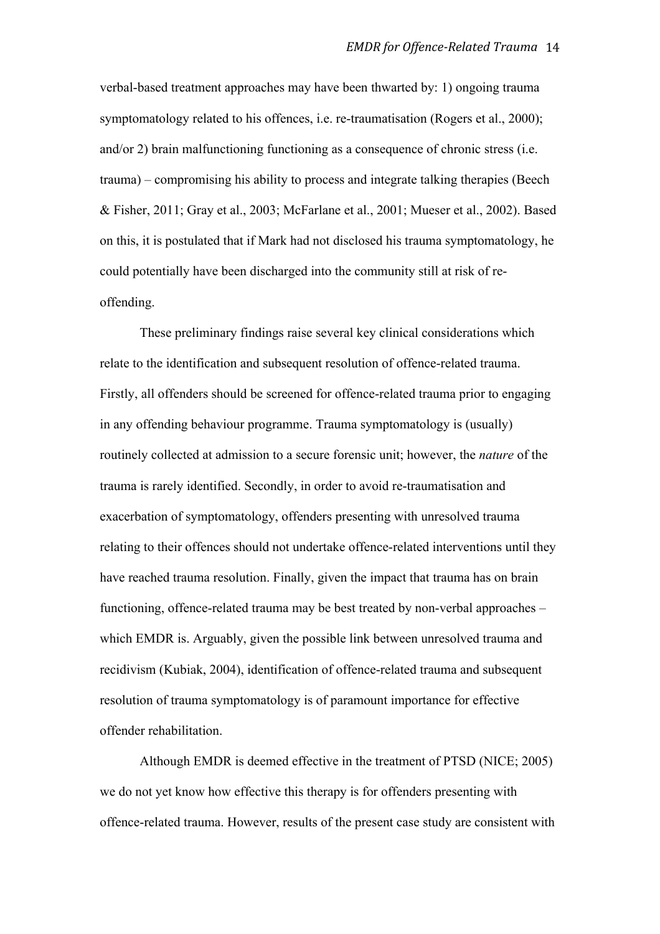verbal-based treatment approaches may have been thwarted by: 1) ongoing trauma symptomatology related to his offences, i.e. re-traumatisation (Rogers et al., 2000); and/or 2) brain malfunctioning functioning as a consequence of chronic stress (i.e. trauma) – compromising his ability to process and integrate talking therapies (Beech & Fisher, 2011; Gray et al., 2003; McFarlane et al., 2001; Mueser et al., 2002). Based on this, it is postulated that if Mark had not disclosed his trauma symptomatology, he could potentially have been discharged into the community still at risk of reoffending.

These preliminary findings raise several key clinical considerations which relate to the identification and subsequent resolution of offence-related trauma. Firstly, all offenders should be screened for offence-related trauma prior to engaging in any offending behaviour programme. Trauma symptomatology is (usually) routinely collected at admission to a secure forensic unit; however, the *nature* of the trauma is rarely identified. Secondly, in order to avoid re-traumatisation and exacerbation of symptomatology, offenders presenting with unresolved trauma relating to their offences should not undertake offence-related interventions until they have reached trauma resolution. Finally, given the impact that trauma has on brain functioning, offence-related trauma may be best treated by non-verbal approaches – which EMDR is. Arguably, given the possible link between unresolved trauma and recidivism (Kubiak, 2004), identification of offence-related trauma and subsequent resolution of trauma symptomatology is of paramount importance for effective offender rehabilitation.

Although EMDR is deemed effective in the treatment of PTSD (NICE; 2005) we do not yet know how effective this therapy is for offenders presenting with offence-related trauma. However, results of the present case study are consistent with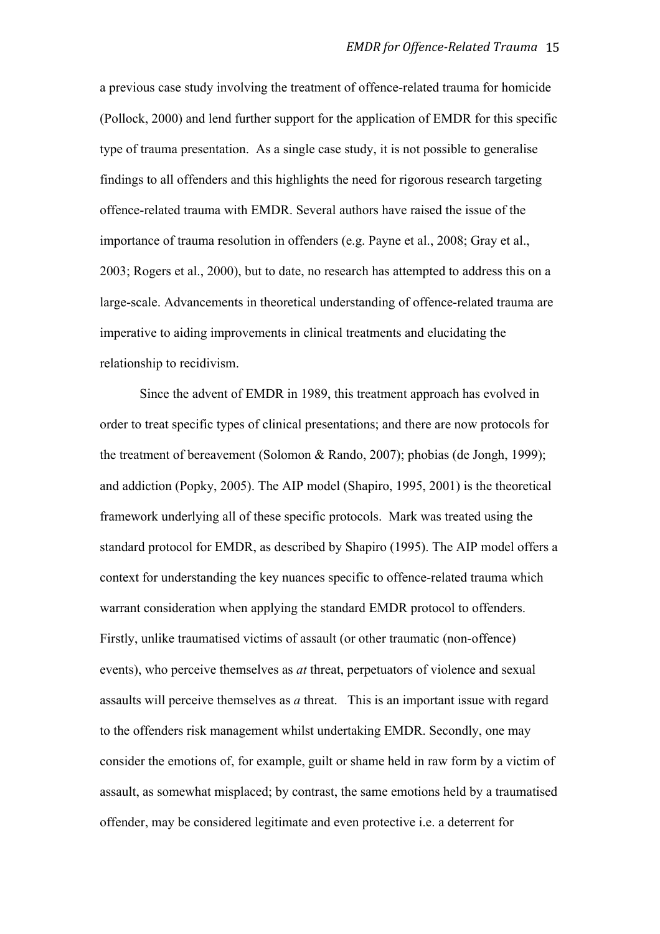a previous case study involving the treatment of offence-related trauma for homicide (Pollock, 2000) and lend further support for the application of EMDR for this specific type of trauma presentation. As a single case study, it is not possible to generalise findings to all offenders and this highlights the need for rigorous research targeting offence-related trauma with EMDR. Several authors have raised the issue of the importance of trauma resolution in offenders (e.g. Payne et al., 2008; Gray et al., 2003; Rogers et al., 2000), but to date, no research has attempted to address this on a large-scale. Advancements in theoretical understanding of offence-related trauma are imperative to aiding improvements in clinical treatments and elucidating the relationship to recidivism.

Since the advent of EMDR in 1989, this treatment approach has evolved in order to treat specific types of clinical presentations; and there are now protocols for the treatment of bereavement (Solomon & Rando, 2007); phobias (de Jongh, 1999); and addiction (Popky, 2005). The AIP model (Shapiro, 1995, 2001) is the theoretical framework underlying all of these specific protocols. Mark was treated using the standard protocol for EMDR, as described by Shapiro (1995). The AIP model offers a context for understanding the key nuances specific to offence-related trauma which warrant consideration when applying the standard EMDR protocol to offenders. Firstly, unlike traumatised victims of assault (or other traumatic (non-offence) events), who perceive themselves as *at* threat, perpetuators of violence and sexual assaults will perceive themselves as *a* threat. This is an important issue with regard to the offenders risk management whilst undertaking EMDR. Secondly, one may consider the emotions of, for example, guilt or shame held in raw form by a victim of assault, as somewhat misplaced; by contrast, the same emotions held by a traumatised offender, may be considered legitimate and even protective i.e. a deterrent for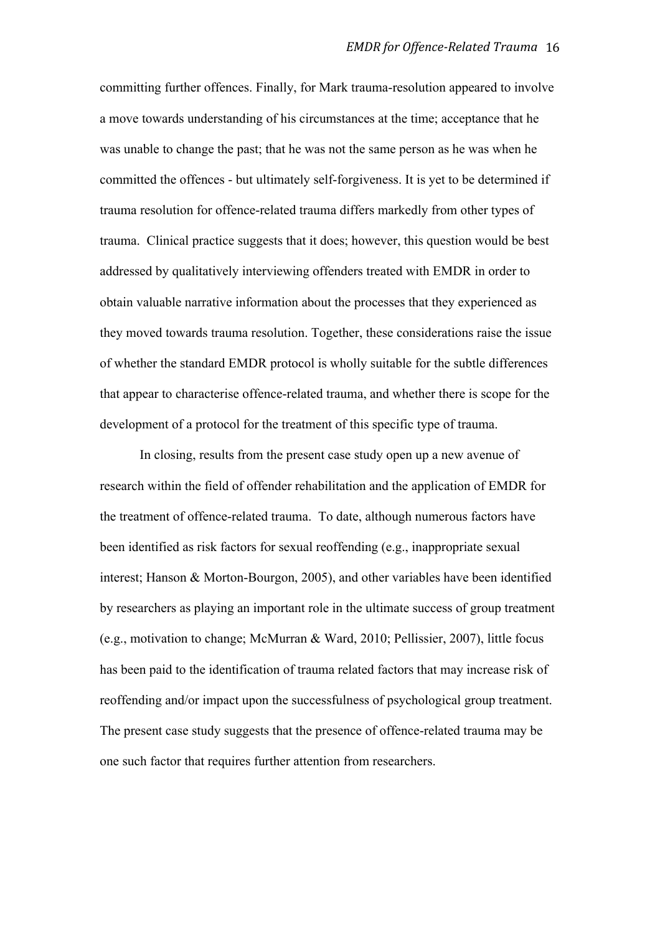committing further offences. Finally, for Mark trauma-resolution appeared to involve a move towards understanding of his circumstances at the time; acceptance that he was unable to change the past; that he was not the same person as he was when he committed the offences - but ultimately self-forgiveness. It is yet to be determined if trauma resolution for offence-related trauma differs markedly from other types of trauma. Clinical practice suggests that it does; however, this question would be best addressed by qualitatively interviewing offenders treated with EMDR in order to obtain valuable narrative information about the processes that they experienced as they moved towards trauma resolution. Together, these considerations raise the issue of whether the standard EMDR protocol is wholly suitable for the subtle differences that appear to characterise offence-related trauma, and whether there is scope for the development of a protocol for the treatment of this specific type of trauma.

In closing, results from the present case study open up a new avenue of research within the field of offender rehabilitation and the application of EMDR for the treatment of offence-related trauma. To date, although numerous factors have been identified as risk factors for sexual reoffending (e.g., inappropriate sexual interest; Hanson & Morton-Bourgon, 2005), and other variables have been identified by researchers as playing an important role in the ultimate success of group treatment (e.g., motivation to change; McMurran & Ward, 2010; Pellissier, 2007), little focus has been paid to the identification of trauma related factors that may increase risk of reoffending and/or impact upon the successfulness of psychological group treatment. The present case study suggests that the presence of offence-related trauma may be one such factor that requires further attention from researchers.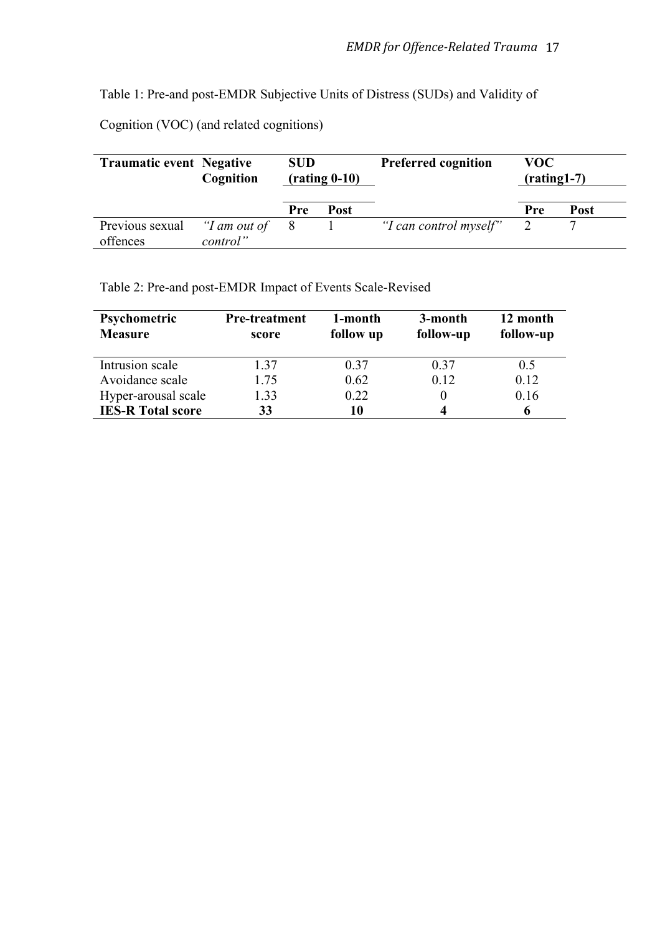Table 1: Pre-and post-EMDR Subjective Units of Distress (SUDs) and Validity of

Cognition (VOC) (and related cognitions)

| <b>Traumatic event Negative</b> | Cognition                | <b>SUD</b><br>$(rating 0-10)$ |             | <b>Preferred cognition</b> | VOC.<br>$(rating 1-7)$ |             |
|---------------------------------|--------------------------|-------------------------------|-------------|----------------------------|------------------------|-------------|
|                                 |                          | <b>Pre</b>                    | <b>Post</b> |                            | Pre                    | <b>Post</b> |
| Previous sexual<br>offences     | "I am out of<br>control" | 8                             |             | "I can control myself"     |                        |             |

Table 2: Pre-and post-EMDR Impact of Events Scale-Revised

| <b>Psychometric</b><br><b>Measure</b> | <b>Pre-treatment</b><br>score | 1-month<br>follow up | 3-month<br>follow-up | 12 month<br>follow-up |
|---------------------------------------|-------------------------------|----------------------|----------------------|-----------------------|
| Intrusion scale                       | 1.37                          | 0.37                 | 0.37                 | 0.5                   |
| Avoidance scale                       | 1.75                          | 0.62                 | 0.12                 | 0.12                  |
| Hyper-arousal scale                   | 1.33                          | 0.22                 |                      | 0.16                  |
| <b>IES-R Total score</b>              | 33                            | 10                   |                      | o                     |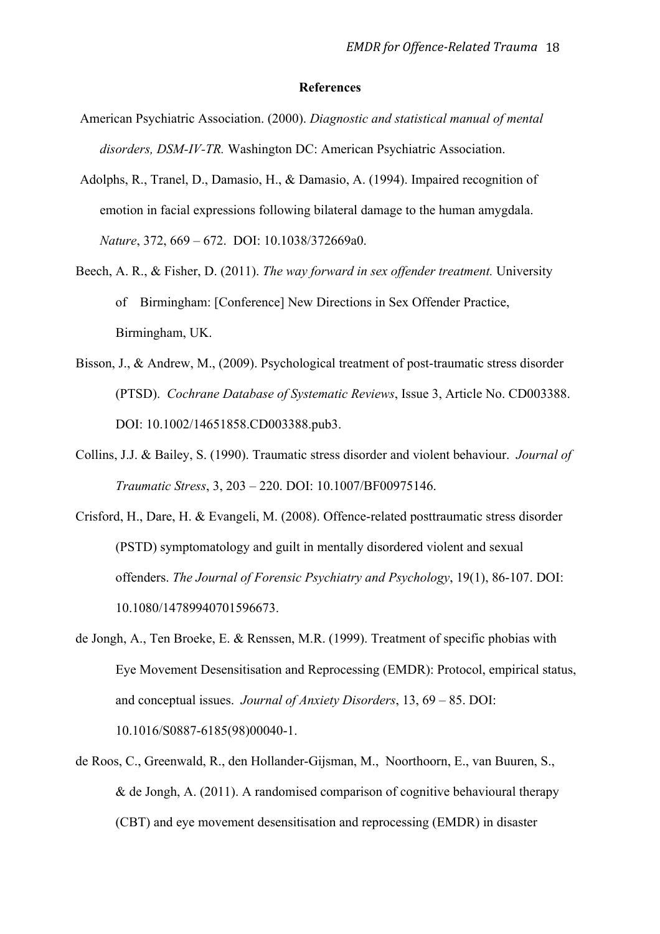#### **References**

- American Psychiatric Association. (2000). *Diagnostic and statistical manual of mental disorders, DSM-IV-TR.* Washington DC: American Psychiatric Association.
- Adolphs, R., Tranel, D., Damasio, H., & Damasio, A. (1994). Impaired recognition of emotion in facial expressions following bilateral damage to the human amygdala. *Nature*, 372, 669 – 672. DOI: 10.1038/372669a0.
- Beech, A. R., & Fisher, D. (2011). *The way forward in sex offender treatment.* University of Birmingham: [Conference] New Directions in Sex Offender Practice, Birmingham, UK.
- Bisson, J., & Andrew, M., (2009). Psychological treatment of post-traumatic stress disorder (PTSD). *Cochrane Database of Systematic Reviews*, Issue 3, Article No. CD003388. DOI: 10.1002/14651858.CD003388.pub3.
- Collins, J.J. & Bailey, S. (1990). Traumatic stress disorder and violent behaviour. *Journal of Traumatic Stress*, 3, 203 – 220. DOI: 10.1007/BF00975146.
- Crisford, H., Dare, H. & Evangeli, M. (2008). Offence-related posttraumatic stress disorder (PSTD) symptomatology and guilt in mentally disordered violent and sexual offenders. *The Journal of Forensic Psychiatry and Psychology*, 19(1), 86-107. DOI: 10.1080/14789940701596673.
- de Jongh, A., Ten Broeke, E. & Renssen, M.R. (1999). Treatment of specific phobias with Eye Movement Desensitisation and Reprocessing (EMDR): Protocol, empirical status, and conceptual issues. *Journal of Anxiety Disorders*, 13, 69 – 85. DOI: 10.1016/S0887-6185(98)00040-1.
- de Roos, C., Greenwald, R., den Hollander-Gijsman, M., Noorthoorn, E., van Buuren, S., & de Jongh, A. (2011). A randomised comparison of cognitive behavioural therapy (CBT) and eye movement desensitisation and reprocessing (EMDR) in disaster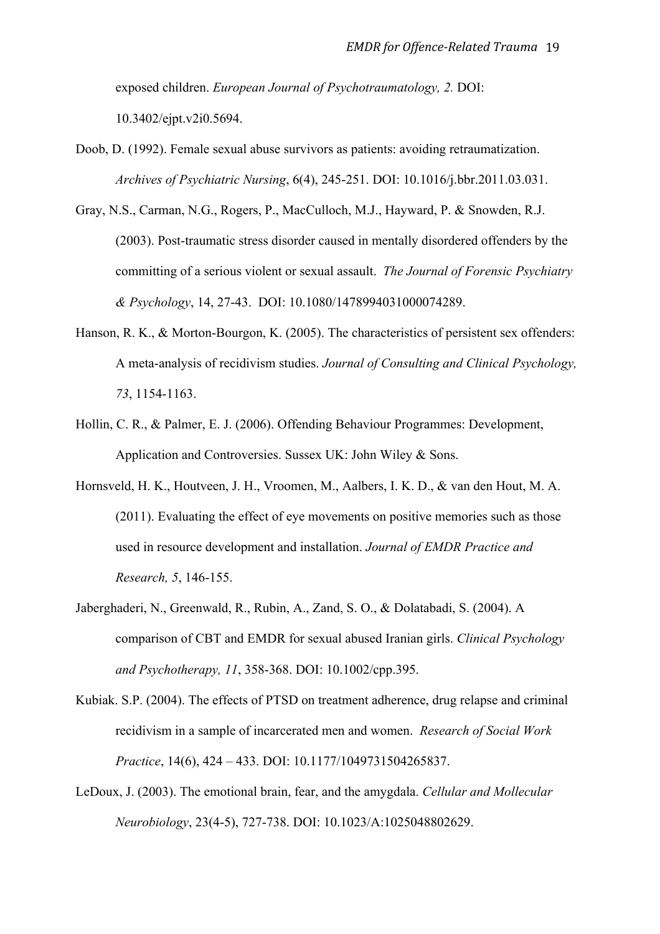exposed children. *European Journal of Psychotraumatology, 2.* DOI: 10.3402/ejpt.v2i0.5694.

- Doob, D. (1992). Female sexual abuse survivors as patients: avoiding retraumatization. *Archives of Psychiatric Nursing*, 6(4), 245-251. DOI: 10.1016/j.bbr.2011.03.031.
- Gray, N.S., Carman, N.G., Rogers, P., MacCulloch, M.J., Hayward, P. & Snowden, R.J. (2003). Post-traumatic stress disorder caused in mentally disordered offenders by the committing of a serious violent or sexual assault. *The Journal of Forensic Psychiatry & Psychology*, 14, 27-43. DOI: 10.1080/1478994031000074289.
- Hanson, R. K., & Morton-Bourgon, K. (2005). The characteristics of persistent sex offenders: A meta-analysis of recidivism studies. *Journal of Consulting and Clinical Psychology, 73*, 1154-1163.
- Hollin, C. R., & Palmer, E. J. (2006). Offending Behaviour Programmes: Development, Application and Controversies. Sussex UK: John Wiley & Sons.
- Hornsveld, H. K., Houtveen, J. H., Vroomen, M., Aalbers, I. K. D., & van den Hout, M. A. (2011). Evaluating the effect of eye movements on positive memories such as those used in resource development and installation. *Journal of EMDR Practice and Research, 5*, 146-155.
- Jaberghaderi, N., Greenwald, R., Rubin, A., Zand, S. O., & Dolatabadi, S. (2004). A comparison of CBT and EMDR for sexual abused Iranian girls. *Clinical Psychology and Psychotherapy, 11*, 358-368. DOI: 10.1002/cpp.395.
- Kubiak. S.P. (2004). The effects of PTSD on treatment adherence, drug relapse and criminal recidivism in a sample of incarcerated men and women. *Research of Social Work Practice*, 14(6), 424 – 433. DOI: 10.1177/1049731504265837.
- LeDoux, J. (2003). The emotional brain, fear, and the amygdala. *Cellular and Mollecular Neurobiology*, 23(4-5), 727-738. DOI: 10.1023/A:1025048802629.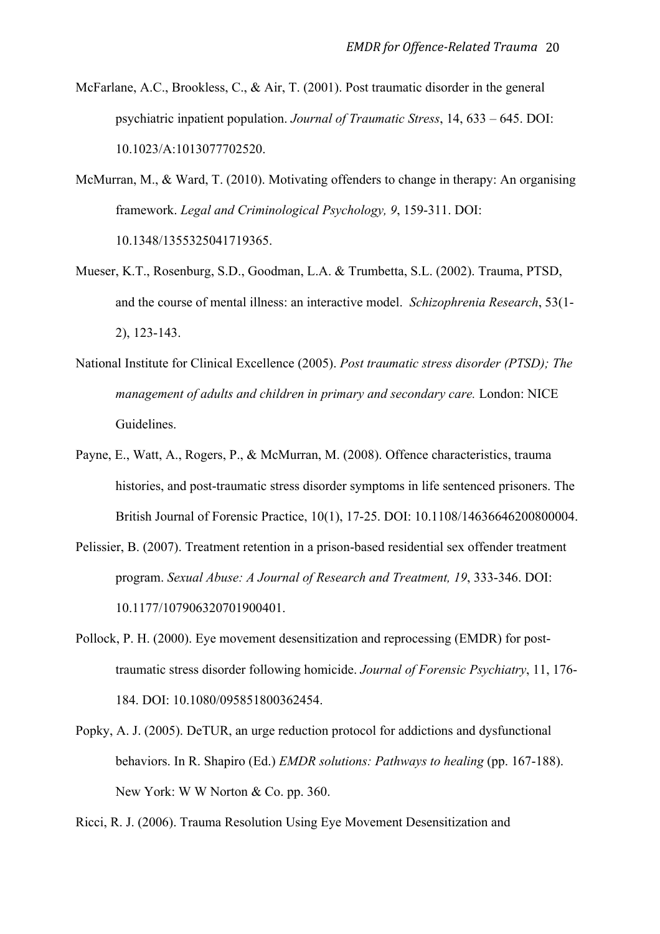- McFarlane, A.C., Brookless, C., & Air, T. (2001). Post traumatic disorder in the general psychiatric inpatient population. *Journal of Traumatic Stress*, 14, 633 – 645. DOI: 10.1023/A:1013077702520.
- McMurran, M., & Ward, T. (2010). Motivating offenders to change in therapy: An organising framework. *Legal and Criminological Psychology, 9*, 159-311. DOI: 10.1348/1355325041719365.
- Mueser, K.T., Rosenburg, S.D., Goodman, L.A. & Trumbetta, S.L. (2002). Trauma, PTSD, and the course of mental illness: an interactive model. *Schizophrenia Research*, 53(1- 2), 123-143.
- National Institute for Clinical Excellence (2005). *Post traumatic stress disorder (PTSD); The management of adults and children in primary and secondary care.* London: NICE Guidelines.
- Payne, E., Watt, A., Rogers, P., & McMurran, M. (2008). Offence characteristics, trauma histories, and post-traumatic stress disorder symptoms in life sentenced prisoners. The British Journal of Forensic Practice, 10(1), 17-25. DOI: 10.1108/14636646200800004.
- Pelissier, B. (2007). Treatment retention in a prison-based residential sex offender treatment program. *Sexual Abuse: A Journal of Research and Treatment, 19*, 333-346. DOI: 10.1177/107906320701900401.
- Pollock, P. H. (2000). Eye movement desensitization and reprocessing (EMDR) for posttraumatic stress disorder following homicide. *Journal of Forensic Psychiatry*, 11, 176- 184. DOI: 10.1080/095851800362454.
- Popky, A. J. (2005). DeTUR, an urge reduction protocol for addictions and dysfunctional behaviors. In R. Shapiro (Ed.) *EMDR solutions: Pathways to healing* (pp. 167-188). New York: W W Norton & Co. pp. 360.

Ricci, R. J. (2006). Trauma Resolution Using Eye Movement Desensitization and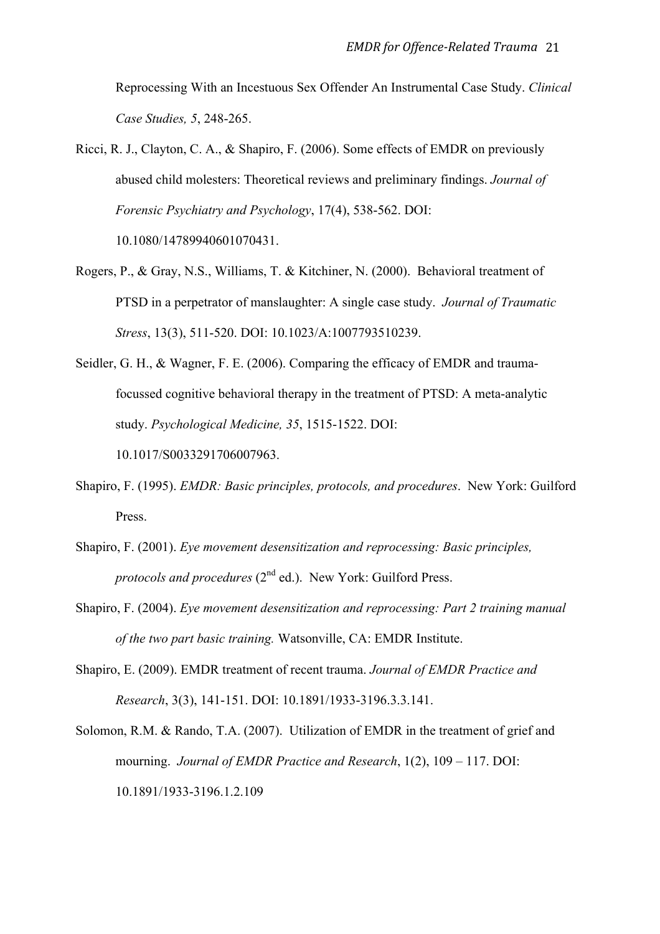Reprocessing With an Incestuous Sex Offender An Instrumental Case Study. *Clinical Case Studies, 5*, 248-265.

- Ricci, R. J., Clayton, C. A., & Shapiro, F. (2006). Some effects of EMDR on previously abused child molesters: Theoretical reviews and preliminary findings. *Journal of Forensic Psychiatry and Psychology*, 17(4), 538-562. DOI: 10.1080/14789940601070431.
- Rogers, P., & Gray, N.S., Williams, T. & Kitchiner, N. (2000). Behavioral treatment of PTSD in a perpetrator of manslaughter: A single case study. *Journal of Traumatic Stress*, 13(3), 511-520. DOI: 10.1023/A:1007793510239.
- Seidler, G. H., & Wagner, F. E. (2006). Comparing the efficacy of EMDR and traumafocussed cognitive behavioral therapy in the treatment of PTSD: A meta-analytic study. *Psychological Medicine, 35*, 1515-1522. DOI: 10.1017/S0033291706007963.
- Shapiro, F. (1995). *EMDR: Basic principles, protocols, and procedures*. New York: Guilford Press.
- Shapiro, F. (2001). *Eye movement desensitization and reprocessing: Basic principles, protocols and procedures* (2<sup>nd</sup> ed.). New York: Guilford Press.
- Shapiro, F. (2004). *Eye movement desensitization and reprocessing: Part 2 training manual of the two part basic training.* Watsonville, CA: EMDR Institute.
- Shapiro, E. (2009). EMDR treatment of recent trauma. *Journal of EMDR Practice and Research*, 3(3), 141-151. DOI: 10.1891/1933-3196.3.3.141.
- Solomon, R.M. & Rando, T.A. (2007). Utilization of EMDR in the treatment of grief and mourning. *Journal of EMDR Practice and Research*, 1(2), 109 – 117. DOI: 10.1891/1933-3196.1.2.109